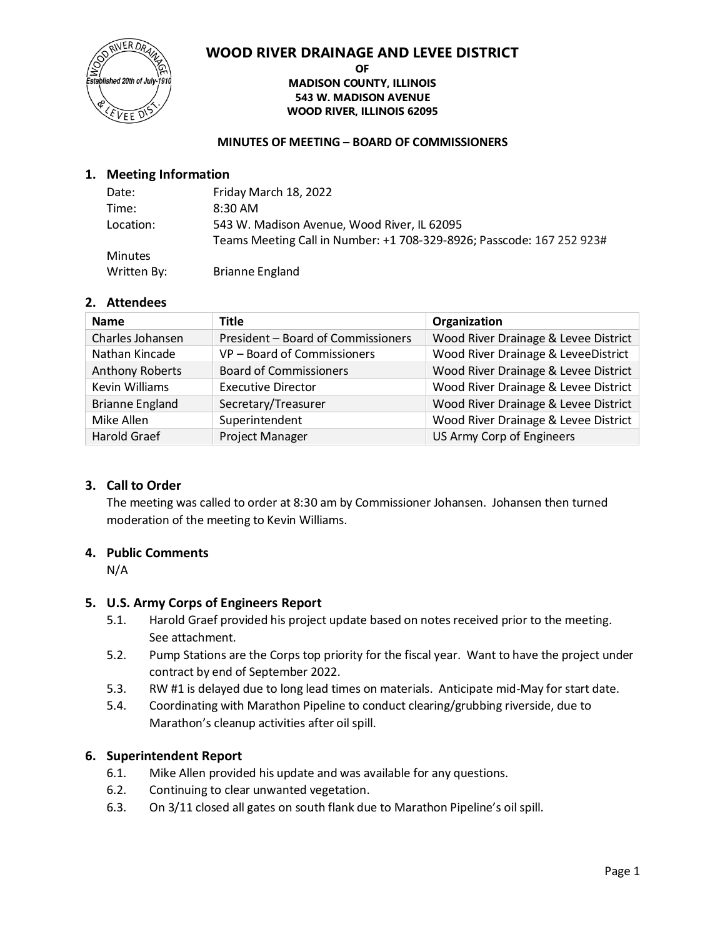## **WOOD RIVER DRAINAGE AND LEVEE DISTRICT**



#### **OF MADISON COUNTY, ILLINOIS 543 W. MADISON AVENUE WOOD RIVER, ILLINOIS 62095**

#### **MINUTES OF MEETING – BOARD OF COMMISSIONERS**

## **1. Meeting Information**

| Date:          | Friday March 18, 2022                                                 |
|----------------|-----------------------------------------------------------------------|
| Time:          | $8:30$ AM                                                             |
| Location:      | 543 W. Madison Avenue, Wood River, IL 62095                           |
|                | Teams Meeting Call in Number: +1 708-329-8926; Passcode: 167 252 923# |
| <b>Minutes</b> |                                                                       |
| Written By:    | <b>Brianne England</b>                                                |

## **2. Attendees**

| <b>Name</b>            | <b>Title</b>                       | Organization                         |
|------------------------|------------------------------------|--------------------------------------|
| Charles Johansen       | President - Board of Commissioners | Wood River Drainage & Levee District |
| Nathan Kincade         | VP - Board of Commissioners        | Wood River Drainage & LeveeDistrict  |
| <b>Anthony Roberts</b> | <b>Board of Commissioners</b>      | Wood River Drainage & Levee District |
| <b>Kevin Williams</b>  | <b>Executive Director</b>          | Wood River Drainage & Levee District |
| <b>Brianne England</b> | Secretary/Treasurer                | Wood River Drainage & Levee District |
| Mike Allen             | Superintendent                     | Wood River Drainage & Levee District |
| <b>Harold Graef</b>    | Project Manager                    | US Army Corp of Engineers            |

## **3. Call to Order**

The meeting was called to order at 8:30 am by Commissioner Johansen. Johansen then turned moderation of the meeting to Kevin Williams.

## **4. Public Comments**

N/A

## **5. U.S. Army Corps of Engineers Report**

- 5.1. Harold Graef provided his project update based on notes received prior to the meeting. See attachment.
- 5.2. Pump Stations are the Corps top priority for the fiscal year. Want to have the project under contract by end of September 2022.
- 5.3. RW #1 is delayed due to long lead times on materials. Anticipate mid-May for start date.
- 5.4. Coordinating with Marathon Pipeline to conduct clearing/grubbing riverside, due to Marathon's cleanup activities after oil spill.

## **6. Superintendent Report**

- 6.1. Mike Allen provided his update and was available for any questions.
- 6.2. Continuing to clear unwanted vegetation.
- 6.3. On 3/11 closed all gates on south flank due to Marathon Pipeline's oil spill.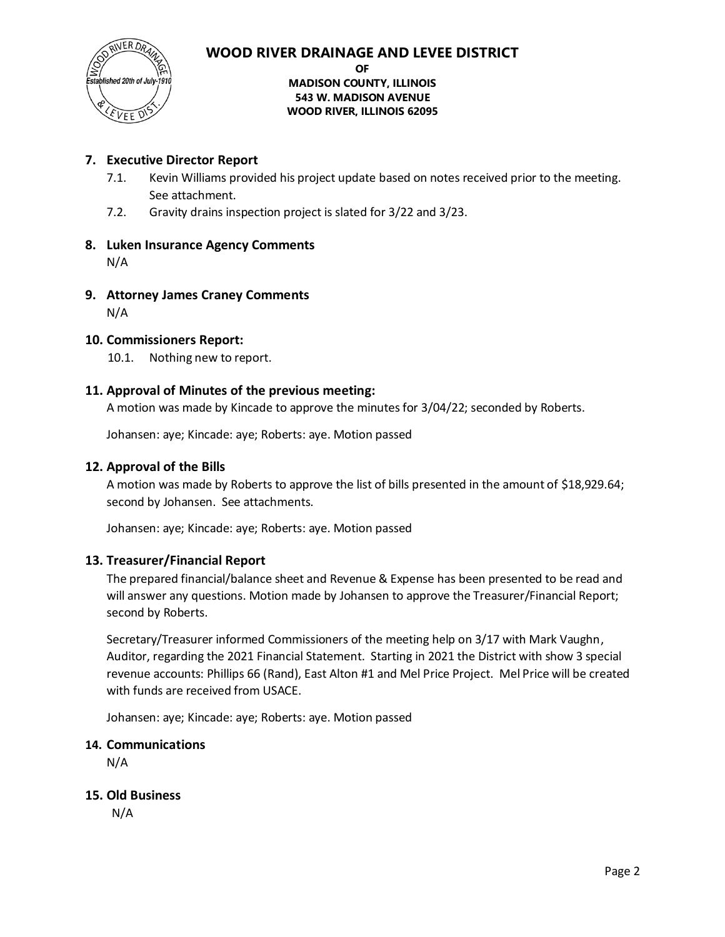

## **WOOD RIVER DRAINAGE AND LEVEE DISTRICT**

#### **OF MADISON COUNTY, ILLINOIS 543 W. MADISON AVENUE WOOD RIVER, ILLINOIS 62095**

## **7. Executive Director Report**

- 7.1. Kevin Williams provided his project update based on notes received prior to the meeting. See attachment.
- 7.2. Gravity drains inspection project is slated for 3/22 and 3/23.

## **8. Luken Insurance Agency Comments** N/A

**9. Attorney James Craney Comments** N/A

## **10. Commissioners Report:**

10.1. Nothing new to report.

## **11. Approval of Minutes of the previous meeting:**

A motion was made by Kincade to approve the minutes for 3/04/22; seconded by Roberts.

Johansen: aye; Kincade: aye; Roberts: aye. Motion passed

## **12. Approval of the Bills**

A motion was made by Roberts to approve the list of bills presented in the amount of \$18,929.64; second by Johansen. See attachments.

Johansen: aye; Kincade: aye; Roberts: aye. Motion passed

## **13. Treasurer/Financial Report**

The prepared financial/balance sheet and Revenue & Expense has been presented to be read and will answer any questions. Motion made by Johansen to approve the Treasurer/Financial Report; second by Roberts.

Secretary/Treasurer informed Commissioners of the meeting help on 3/17 with Mark Vaughn, Auditor, regarding the 2021 Financial Statement. Starting in 2021 the District with show 3 special revenue accounts: Phillips 66 (Rand), East Alton #1 and Mel Price Project. Mel Price will be created with funds are received from USACE.

Johansen: aye; Kincade: aye; Roberts: aye. Motion passed

## **14. Communications**

N/A

## **15. Old Business**

N/A